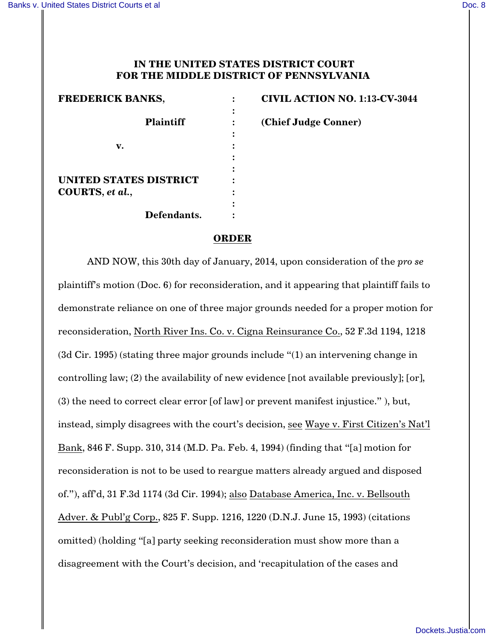## **IN THE UNITED STATES DISTRICT COURT FOR THE MIDDLE DISTRICT OF PENNSYLVANIA**

| <b>FREDERICK BANKS,</b>       |  |
|-------------------------------|--|
|                               |  |
| <b>Plaintiff</b>              |  |
|                               |  |
| v.                            |  |
|                               |  |
|                               |  |
| <b>UNITED STATES DISTRICT</b> |  |
| COURTS, et al.,               |  |
|                               |  |
| Defendants.                   |  |

**FREDERICK BANKS, : CIVIL ACTION NO. 1:13-CV-3044 Plaintiff : (Chief Judge Conner)**

## **ORDER**

AND NOW, this 30th day of January, 2014, upon consideration of the *pro se* plaintiff's motion (Doc. 6) for reconsideration, and it appearing that plaintiff fails to demonstrate reliance on one of three major grounds needed for a proper motion for reconsideration, North River Ins. Co. v. Cigna Reinsurance Co., 52 F.3d 1194, 1218 (3d Cir. 1995) (stating three major grounds include "(1) an intervening change in controlling law; (2) the availability of new evidence [not available previously]; [or], (3) the need to correct clear error [of law] or prevent manifest injustice." ), but, instead, simply disagrees with the court's decision, see Waye v. First Citizen's Nat'l Bank, 846 F. Supp. 310, 314 (M.D. Pa. Feb. 4, 1994) (finding that "[a] motion for reconsideration is not to be used to reargue matters already argued and disposed of."), aff'd, 31 F.3d 1174 (3d Cir. 1994); also Database America, Inc. v. Bellsouth Adver. & Publ'g Corp., 825 F. Supp. 1216, 1220 (D.N.J. June 15, 1993) (citations omitted) (holding "[a] party seeking reconsideration must show more than a disagreement with the Court's decision, and 'recapitulation of the cases and